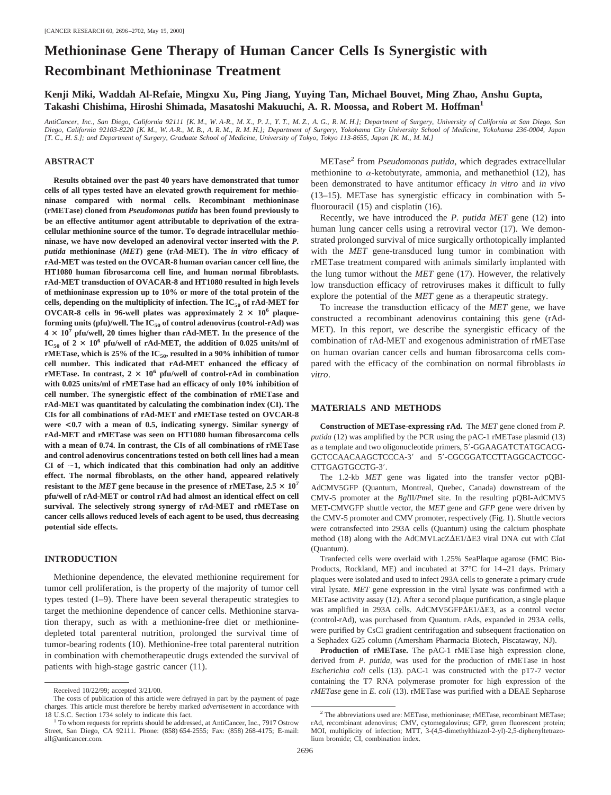# **Methioninase Gene Therapy of Human Cancer Cells Is Synergistic with Recombinant Methioninase Treatment**

**Kenji Miki, Waddah Al-Refaie, Mingxu Xu, Ping Jiang, Yuying Tan, Michael Bouvet, Ming Zhao, Anshu Gupta, Takashi Chishima, Hiroshi Shimada, Masatoshi Makuuchi, A. R. Moossa, and Robert M. Hoffman1**

*AntiCancer, Inc., San Diego, California 92111 [K. M., W. A-R., M. X., P. J., Y. T., M. Z., A. G., R. M. H.]; Department of Surgery, University of California at San Diego, San Diego, California 92103-8220 [K. M., W. A-R., M. B., A. R. M., R. M. H.]; Department of Surgery, Yokohama City University School of Medicine, Yokohama 236-0004, Japan [T. C., H. S.]; and Department of Surgery, Graduate School of Medicine, University of Tokyo, Tokyo 113-8655, Japan [K. M., M. M.]*

### **ABSTRACT**

**Results obtained over the past 40 years have demonstrated that tumor cells of all types tested have an elevated growth requirement for methioninase compared with normal cells. Recombinant methioninase (rMETase) cloned from** *Pseudomonas putida* **has been found previously to be an effective antitumor agent attributable to deprivation of the extracellular methionine source of the tumor. To degrade intracellular methioninase, we have now developed an adenoviral vector inserted with the** *P. putida* **methioninase (***MET***) gene (rAd-MET). The** *in vitro* **efficacy of rAd-MET was tested on the OVCAR-8 human ovarian cancer cell line, the HT1080 human fibrosarcoma cell line, and human normal fibroblasts. rAd-MET transduction of OVACAR-8 and HT1080 resulted in high levels of methioninase expression up to 10% or more of the total protein of the** cells, depending on the multiplicity of infection. The IC<sub>50</sub> of rAd-MET for OVCAR-8 cells in 96-well plates was approximately  $2 \times 10^6$  plaqueforming units (pfu)/well. The IC<sub>50</sub> of control adenovirus (control-rAd) was  $4 \times 10^7$  pfu/well, 20 times higher than rAd-MET. In the presence of the  $IC_{50}$  of  $2 \times 10^6$  pfu/well of rAd-MET, the addition of 0.025 units/ml of **rMETase, which is 25% of the IC<sub>50</sub>, resulted in a 90% inhibition of tumor cell number. This indicated that rAd-MET enhanced the efficacy of rMETase.** In contrast,  $2 \times 10^6$  pfu/well of control-rAd in combination **with 0.025 units/ml of rMETase had an efficacy of only 10% inhibition of cell number. The synergistic effect of the combination of rMETase and rAd-MET was quantitated by calculating the combination index (CI). The CIs for all combinations of rAd-MET and rMETase tested on OVCAR-8 were <0.7 with a mean of 0.5, indicating synergy. Similar synergy of rAd-MET and rMETase was seen on HT1080 human fibrosarcoma cells with a mean of 0.74. In contrast, the CIs of all combinations of rMETase and control adenovirus concentrations tested on both cell lines had a mean** CI of  $\sim$ 1, which indicated that this combination had only an additive **effect. The normal fibroblasts, on the other hand, appeared relatively resistant to the** *MET* **gene because in the presence of rMETase, 2.5**  $\times$  **10<sup>7</sup> pfu/well of rAd-MET or control rAd had almost an identical effect on cell survival. The selectively strong synergy of rAd-MET and rMETase on cancer cells allows reduced levels of each agent to be used, thus decreasing potential side effects.**

## **INTRODUCTION**

Methionine dependence, the elevated methionine requirement for tumor cell proliferation, is the property of the majority of tumor cell types tested (1–9). There have been several therapeutic strategies to target the methionine dependence of cancer cells. Methionine starvation therapy, such as with a methionine-free diet or methioninedepleted total parenteral nutrition, prolonged the survival time of tumor-bearing rodents (10). Methionine-free total parenteral nutrition in combination with chemotherapeutic drugs extended the survival of patients with high-stage gastric cancer (11).

METase2 from *Pseudomonas putida*, which degrades extracellular methionine to  $\alpha$ -ketobutyrate, ammonia, and methanethiol (12), has been demonstrated to have antitumor efficacy *in vitro* and *in vivo* (13–15). METase has synergistic efficacy in combination with 5 fluorouracil (15) and cisplatin (16).

Recently, we have introduced the *P. putida MET* gene (12) into human lung cancer cells using a retroviral vector (17). We demonstrated prolonged survival of mice surgically orthotopically implanted with the *MET* gene-transduced lung tumor in combination with rMETase treatment compared with animals similarly implanted with the lung tumor without the *MET* gene (17). However, the relatively low transduction efficacy of retroviruses makes it difficult to fully explore the potential of the *MET* gene as a therapeutic strategy.

To increase the transduction efficacy of the *MET* gene, we have constructed a recombinant adenovirus containing this gene (rAd-MET). In this report, we describe the synergistic efficacy of the combination of rAd-MET and exogenous administration of rMETase on human ovarian cancer cells and human fibrosarcoma cells compared with the efficacy of the combination on normal fibroblasts *in vitro*.

#### **MATERIALS AND METHODS**

**Construction of METase-expressing rAd.** The *MET* gene cloned from *P. putida* (12) was amplified by the PCR using the pAC-1 rMETase plasmid (13) as a template and two oligonucleotide primers, 5'-GGAAGATCTATGCACG-GCTCCAACAAGCTCCCA-3' and 5'-CGCGGATCCTTAGGCACTCGC-CTTGAGTGCCTG-3'.

The 1.2-kb *MET* gene was ligated into the transfer vector pQBI-AdCMV5GFP (Quantum, Montreal, Quebec, Canada) downstream of the CMV-5 promoter at the *Bgl*II/*Pme*I site. In the resulting pQBI-AdCMV5 MET-CMVGFP shuttle vector, the *MET* gene and *GFP* gene were driven by the CMV-5 promoter and CMV promoter, respectively (Fig. 1). Shuttle vectors were cotransfected into 293A cells (Quantum) using the calcium phosphate method (18) along with the AdCMVLacZ $\Delta$ E1/ $\Delta$ E3 viral DNA cut with *ClaI* (Quantum).

Tranfected cells were overlaid with 1.25% SeaPlaque agarose (FMC Bio-Products, Rockland, ME) and incubated at 37°C for 14–21 days. Primary plaques were isolated and used to infect 293A cells to generate a primary crude viral lysate. *MET* gene expression in the viral lysate was confirmed with a METase activity assay (12). After a second plaque purification, a single plaque was amplified in 293A cells. AdCMV5GFP $\Delta E1/\Delta E3$ , as a control vector (control-rAd), was purchased from Quantum. rAds, expanded in 293A cells, were purified by CsCl gradient centrifugation and subsequent fractionation on a Sephadex G25 column (Amersham Pharmacia Biotech, Piscataway, NJ).

**Production of rMETase.** The pAC-1 rMETase high expression clone, derived from *P. putida*, was used for the production of rMETase in host *Escherichia coli* cells (13). pAC-1 was constructed with the pT7-7 vector containing the T7 RNA polymerase promoter for high expression of the Received 10/22/99; accepted 3/21/00. *rMETase* gene in *E. coli* (13). rMETase was purified with a DEAE Sepharose

The costs of publication of this article were defrayed in part by the payment of page charges. This article must therefore be hereby marked *advertisement* in accordance with

<sup>18</sup> U.S.C. Section 1734 solely to indicate this fact.<br><sup>1</sup> To whom requests for reprints should be addressed, at AntiCancer, Inc., 7917 Ostrow Street, San Diego, CA 92111. Phone: (858) 654-2555; Fax: (858) 268-4175; E-mail: all@anticancer.com.

<sup>&</sup>lt;sup>2</sup> The abbreviations used are: METase, methioninase; rMETase, recombinant METase; rAd, recombinant adenovirus; CMV, cytomegalovirus; GFP, green fluorescent protein; MOI, multiplicity of infection; MTT, 3-(4,5-dimethylthiazol-2-yl)-2,5-diphenyltetrazolium bromide; CI, combination index.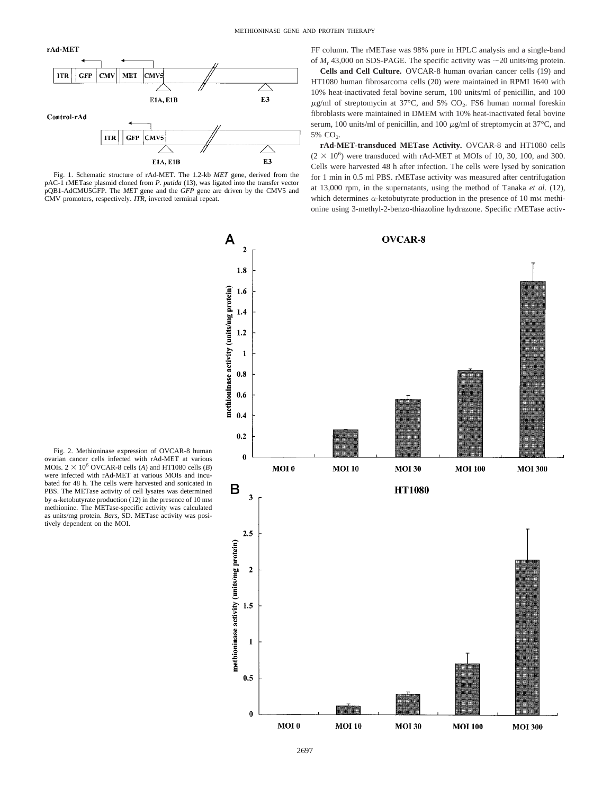



Fig. 1. Schematic structure of rAd-MET. The 1.2-kb *MET* gene, derived from the pAC-1 rMETase plasmid cloned from *P. putida* (13), was ligated into the transfer vector pQB1-AdCMU5GFP. The *MET* gene and the *GFP* gene are driven by the CMV5 and CMV promoters, respectively. *ITR,* inverted terminal repeat.

FF column. The rMETase was 98% pure in HPLC analysis and a single-band of  $M_r$  43,000 on SDS-PAGE. The specific activity was  $\sim$  20 units/mg protein.

**Cells and Cell Culture.** OVCAR-8 human ovarian cancer cells (19) and HT1080 human fibrosarcoma cells (20) were maintained in RPMI 1640 with 10% heat-inactivated fetal bovine serum, 100 units/ml of penicillin, and 100  $\mu$ g/ml of streptomycin at 37°C, and 5% CO<sub>2</sub>. FS6 human normal foreskin fibroblasts were maintained in DMEM with 10% heat-inactivated fetal bovine serum, 100 units/ml of penicillin, and 100  $\mu$ g/ml of streptomycin at 37°C, and 5%  $CO<sub>2</sub>$ .

**rAd-MET-transduced METase Activity.** OVCAR-8 and HT1080 cells  $(2 \times 10^6)$  were transduced with rAd-MET at MOIs of 10, 30, 100, and 300. Cells were harvested 48 h after infection. The cells were lysed by sonication for 1 min in 0.5 ml PBS. rMETase activity was measured after centrifugation at 13,000 rpm, in the supernatants, using the method of Tanaka *et al.* (12), which determines  $\alpha$ -ketobutyrate production in the presence of 10 mm methionine using 3-methyl-2-benzo-thiazoline hydrazone. Specific rMETase activ-



Fig. 2. Methioninase expression of OVCAR-8 human ovarian cancer cells infected with rAd-MET at various MOIs.  $2 \times 10^6$  OVCAR-8 cells (*A*) and HT1080 cells (*B*) were infected with rAd-MET at various MOIs and incubated for 48 h. The cells were harvested and sonicated in PBS. The METase activity of cell lysates was determined by  $\alpha$ -ketobutyrate production (12) in the presence of 10 mm methionine. The METase-specific activity was calculated as units/mg protein. *Bars,* SD. METase activity was posi-tively dependent on the MOI.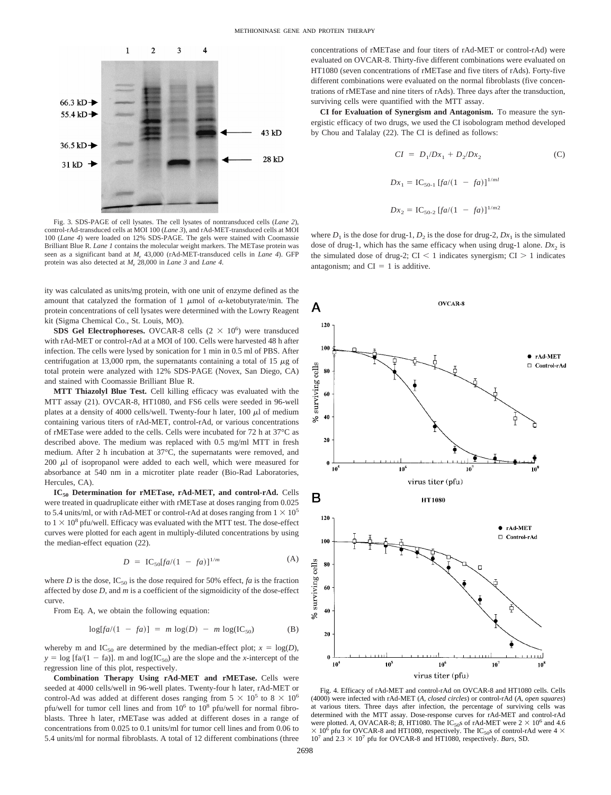

Fig. 3. SDS-PAGE of cell lysates. The cell lysates of nontransduced cells (*Lane 2*), control-rAd-transduced cells at MOI 100 (*Lane 3*), and rAd-MET-transduced cells at MOI 100 (*Lane 4*) were loaded on 12% SDS-PAGE. The gels were stained with Coomassie Brilliant Blue R. *Lane 1* contains the molecular weight markers. The METase protein was seen as a significant band at *M*<sup>r</sup> 43,000 (rAd-MET-transduced cells in *Lane 4*). GFP protein was also detected at *M*<sup>r</sup> 28,000 in *Lane 3* and *Lane 4*.

ity was calculated as units/mg protein, with one unit of enzyme defined as the amount that catalyzed the formation of 1  $\mu$ mol of  $\alpha$ -ketobutyrate/min. The protein concentrations of cell lysates were determined with the Lowry Reagent kit (Sigma Chemical Co., St. Louis, MO).

**SDS Gel Electrophoreses.** OVCAR-8 cells  $(2 \times 10^6)$  were transduced with rAd-MET or control-rAd at a MOI of 100. Cells were harvested 48 h after infection. The cells were lysed by sonication for 1 min in 0.5 ml of PBS. After centrifugation at 13,000 rpm, the supernatants containing a total of 15  $\mu$ g of total protein were analyzed with 12% SDS-PAGE (Novex, San Diego, CA) and stained with Coomassie Brilliant Blue R.

**MTT Thiazolyl Blue Test.** Cell killing efficacy was evaluated with the MTT assay (21). OVCAR-8, HT1080, and FS6 cells were seeded in 96-well plates at a density of 4000 cells/well. Twenty-four h later, 100  $\mu$ l of medium containing various titers of rAd-MET, control-rAd, or various concentrations of rMETase were added to the cells. Cells were incubated for 72 h at 37°C as described above. The medium was replaced with 0.5 mg/ml MTT in fresh medium. After 2 h incubation at 37°C, the supernatants were removed, and  $200 \mu l$  of isopropanol were added to each well, which were measured for absorbance at 540 nm in a microtiter plate reader (Bio-Rad Laboratories, Hercules, CA).

**IC50 Determination for rMETase, rAd-MET, and control-rAd.** Cells were treated in quadruplicate either with rMETase at doses ranging from 0.025 to 5.4 units/ml, or with rAd-MET or control-rAd at doses ranging from  $1 \times 10^5$ to  $1 \times 10^8$  pfu/well. Efficacy was evaluated with the MTT test. The dose-effect curves were plotted for each agent in multiply-diluted concentrations by using the median-effect equation (22).

$$
D = IC_{50}[fa/(1 - fa)]^{1/m}
$$
 (A)

where *D* is the dose,  $IC_{50}$  is the dose required for 50% effect, *fa* is the fraction affected by dose *D,* and *m* is a coefficient of the sigmoidicity of the dose-effect curve.

From Eq. A, we obtain the following equation:

$$
log[fa/(1 - fa)] = m log(D) - m log(IC_{50})
$$
 (B)

whereby m and IC<sub>50</sub> are determined by the median-effect plot;  $x = \log(D)$ ,  $y = \log [fa/(1 - fa)]$ . m and  $\log(IC_{50})$  are the slope and the *x*-intercept of the regression line of this plot, respectively.

**Combination Therapy Using rAd-MET and rMETase.** Cells were seeded at 4000 cells/well in 96-well plates. Twenty-four h later, rAd-MET or control-Ad was added at different doses ranging from  $5 \times 10^5$  to  $8 \times 10^6$ pfu/well for tumor cell lines and from  $10^6$  to  $10^8$  pfu/well for normal fibroblasts. Three h later, rMETase was added at different doses in a range of concentrations from 0.025 to 0.1 units/ml for tumor cell lines and from 0.06 to 5.4 units/ml for normal fibroblasts. A total of 12 different combinations (three concentrations of rMETase and four titers of rAd-MET or control-rAd) were evaluated on OVCAR-8. Thirty-five different combinations were evaluated on HT1080 (seven concentrations of rMETase and five titers of rAds). Forty-five different combinations were evaluated on the normal fibroblasts (five concentrations of rMETase and nine titers of rAds). Three days after the transduction, surviving cells were quantified with the MTT assay.

**CI for Evaluation of Synergism and Antagonism.** To measure the synergistic efficacy of two drugs, we used the CI isobologram method developed by Chou and Talalay (22). The CI is defined as follows:

$$
CI = D_1/Dx_1 + D_2/Dx_2
$$
 (C)  

$$
Dx_1 = IC_{50-1} [fa/(1 - fa)]^{1/ml}
$$
  

$$
Dx_2 = IC_{50-2} [fa/(1 - fa)]^{1/m2}
$$

where  $D_1$  is the dose for drug-1,  $D_2$  is the dose for drug-2,  $Dx_1$  is the simulated dose of drug-1, which has the same efficacy when using drug-1 alone.  $Dx_2$  is the simulated dose of drug-2;  $CI < 1$  indicates synergism;  $CI > 1$  indicates antagonism; and  $CI = 1$  is additive.



Fig. 4. Efficacy of rAd-MET and control-rAd on OVCAR-8 and HT1080 cells. Cells (4000) were infected with rAd-MET (*A, closed circles*) or control-rAd (*A, open squares*) at various titers. Three days after infection, the percentage of surviving cells was determined with the MTT assay. Dose-response curves for rAd-MET and control-rAd were plotted. A, OVACAR-8; *B*, HT1080. The IC<sub>50</sub>s of rAd-MET were  $2 \times 10^6$  and 4.6  $\times$  10<sup>6</sup> pfu for OVCAR-8 and HT1080, respectively. The IC<sub>50</sub>s of control-rAd were 4  $\times$  $10^7$  and  $2.3 \times 10^7$  pfu for OVCAR-8 and HT1080, respectively. *Bars*, SD.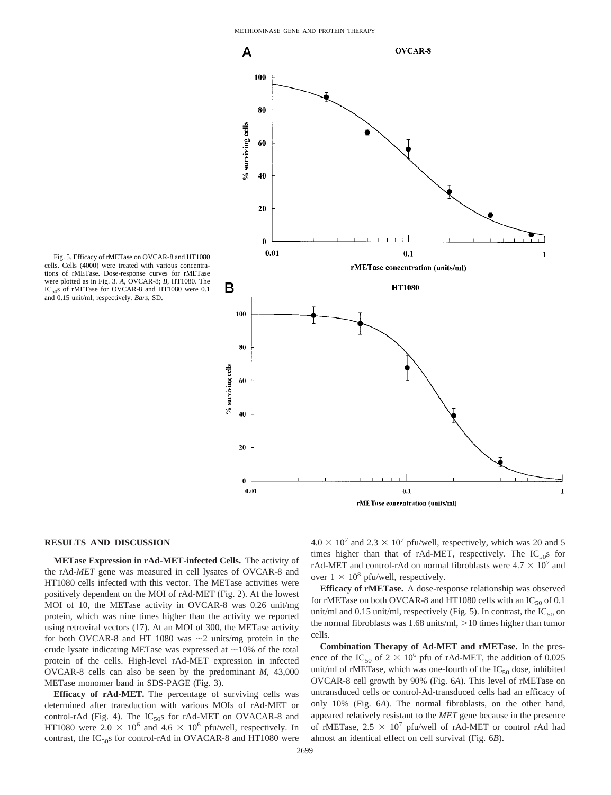

Fig. 5. Efficacy of rMETase on OVCAR-8 and HT1080 cells. Cells (4000) were treated with various concentrations of rMETase. Dose-response curves for rMETase were plotted as in Fig. 3. *A,* OVCAR-8; *B,* HT1080. The IC<sub>50</sub>s of rMETase for OVCAR-8 and HT1080 were 0.1 and 0.15 unit/ml, respectively. *Bars,* SD.

#### **RESULTS AND DISCUSSION**

**METase Expression in rAd-MET-infected Cells.** The activity of the rAd-*MET* gene was measured in cell lysates of OVCAR-8 and HT1080 cells infected with this vector. The METase activities were positively dependent on the MOI of rAd-MET (Fig. 2). At the lowest MOI of 10, the METase activity in OVCAR-8 was 0.26 unit/mg protein, which was nine times higher than the activity we reported using retroviral vectors (17). At an MOI of 300, the METase activity for both OVCAR-8 and HT 1080 was  $\sim$ 2 units/mg protein in the crude lysate indicating METase was expressed at  $\sim$ 10% of the total protein of the cells. High-level rAd-MET expression in infected OVCAR-8 cells can also be seen by the predominant  $M_r$ , 43,000 METase monomer band in SDS-PAGE (Fig. 3).

**Efficacy of rAd-MET.** The percentage of surviving cells was determined after transduction with various MOIs of rAd-MET or control-rAd (Fig. 4). The  $IC_{50}$ s for rAd-MET on OVACAR-8 and HT1080 were  $2.0 \times 10^6$  and  $4.6 \times 10^6$  pfu/well, respectively. In contrast, the  $IC_{50}$ s for control-rAd in OVACAR-8 and HT1080 were  $4.0 \times 10^{7}$  and  $2.3 \times 10^{7}$  pfu/well, respectively, which was 20 and 5 times higher than that of rAd-MET, respectively. The  $IC_{50}$  for rAd-MET and control-rAd on normal fibroblasts were  $4.7 \times 10^7$  and over  $1 \times 10^8$  pfu/well, respectively.

**Efficacy of rMETase.** A dose-response relationship was observed for rMETase on both OVCAR-8 and HT1080 cells with an  $IC_{50}$  of 0.1 unit/ml and 0.15 unit/ml, respectively (Fig. 5). In contrast, the  $IC_{50}$  on the normal fibroblasts was  $1.68$  units/ml,  $>10$  times higher than tumor cells.

**Combination Therapy of Ad-MET and rMETase.** In the presence of the IC<sub>50</sub> of  $2 \times 10^6$  pfu of rAd-MET, the addition of 0.025 unit/ml of rMETase, which was one-fourth of the  $IC_{50}$  dose, inhibited OVCAR-8 cell growth by 90% (Fig. 6*A*). This level of rMETase on untransduced cells or control-Ad-transduced cells had an efficacy of only 10% (Fig. 6*A*). The normal fibroblasts, on the other hand, appeared relatively resistant to the *MET* gene because in the presence of rMETase,  $2.5 \times 10^7$  pfu/well of rAd-MET or control rAd had almost an identical effect on cell survival (Fig. 6*B*).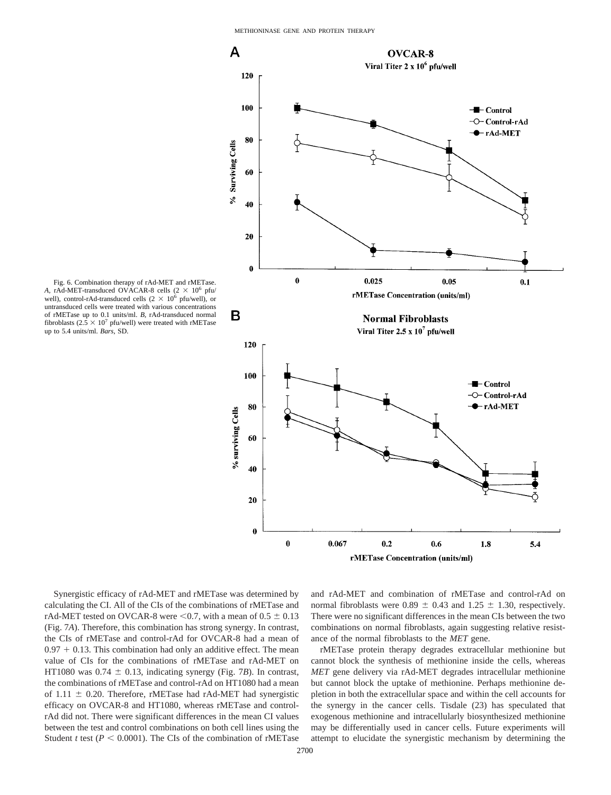

Fig. 6. Combination therapy of rAd-MET and rMETase. A, rAd-MET-transduced OVACAR-8 cells  $(2 \times 10^6 \text{ pfu})$ well), control-rAd-transduced cells  $(2 \times 10^6 \text{ pftu/well})$ , or untransduced cells were treated with various concentrations of rMETase up to 0.1 units/ml. *B,* rAd-transduced normal fibroblasts ( $2.5 \times 10^7$  pfu/well) were treated with rMETase up to 5.4 units/ml. *Bars,* SD.

Synergistic efficacy of rAd-MET and rMETase was determined by calculating the CI. All of the CIs of the combinations of rMETase and rAd-MET tested on OVCAR-8 were  $< 0.7$ , with a mean of  $0.5 \pm 0.13$ (Fig. 7*A*). Therefore, this combination has strong synergy. In contrast, the CIs of rMETase and control-rAd for OVCAR-8 had a mean of  $0.97 + 0.13$ . This combination had only an additive effect. The mean value of CIs for the combinations of rMETase and rAd-MET on HT1080 was  $0.74 \pm 0.13$ , indicating synergy (Fig. 7*B*). In contrast, the combinations of rMETase and control-rAd on HT1080 had a mean of 1.11  $\pm$  0.20. Therefore, rMETase had rAd-MET had synergistic efficacy on OVCAR-8 and HT1080, whereas rMETase and controlrAd did not. There were significant differences in the mean CI values between the test and control combinations on both cell lines using the Student *t* test ( $P < 0.0001$ ). The CIs of the combination of rMETase

and rAd-MET and combination of rMETase and control-rAd on normal fibroblasts were 0.89  $\pm$  0.43 and 1.25  $\pm$  1.30, respectively. There were no significant differences in the mean CIs between the two combinations on normal fibroblasts, again suggesting relative resistance of the normal fibroblasts to the *MET* gene.

rMETase protein therapy degrades extracellular methionine but cannot block the synthesis of methionine inside the cells, whereas *MET* gene delivery via rAd-MET degrades intracellular methionine but cannot block the uptake of methionine. Perhaps methionine depletion in both the extracellular space and within the cell accounts for the synergy in the cancer cells. Tisdale (23) has speculated that exogenous methionine and intracellularly biosynthesized methionine may be differentially used in cancer cells. Future experiments will attempt to elucidate the synergistic mechanism by determining the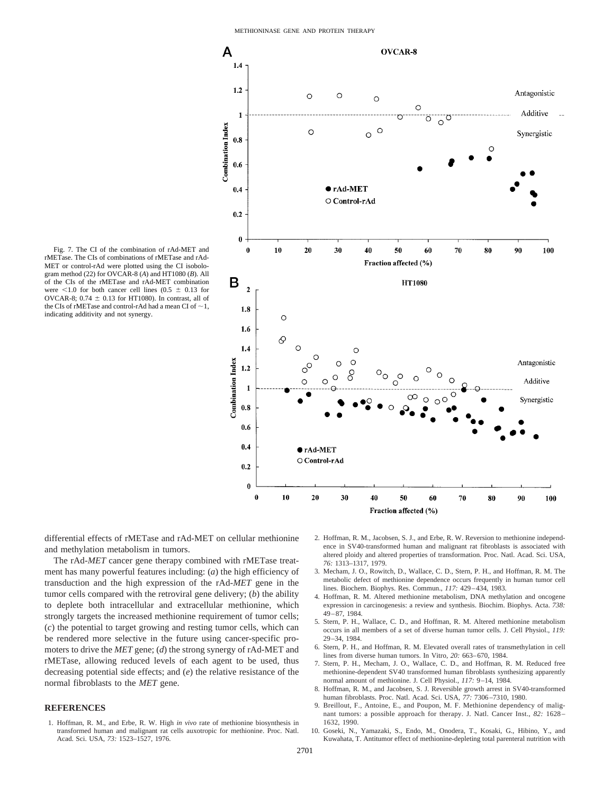

Fig. 7. The CI of the combination of rAd-MET and rMETase. The CIs of combinations of rMETase and rAd-MET or control-rAd were plotted using the CI isobologram method (22) for OVCAR-8 (*A*) and HT1080 (*B*). All of the CIs of the rMETase and rAd-MET combination were  $\leq 1.0$  for both cancer cell lines (0.5  $\pm$  0.13 for OVCAR-8; 0.74  $\pm$  0.13 for HT1080). In contrast, all of the CIs of rMETase and control-rAd had a mean CI of  $\sim$ 1, indicating additivity and not synergy.

differential effects of rMETase and rAd-MET on cellular methionine and methylation metabolism in tumors.

The rAd-*MET* cancer gene therapy combined with rMETase treatment has many powerful features including: (*a*) the high efficiency of transduction and the high expression of the rAd-*MET* gene in the tumor cells compared with the retroviral gene delivery; (*b*) the ability to deplete both intracellular and extracellular methionine, which strongly targets the increased methionine requirement of tumor cells; (*c*) the potential to target growing and resting tumor cells, which can be rendered more selective in the future using cancer-specific promoters to drive the *MET* gene; (*d*) the strong synergy of rAd-MET and rMETase, allowing reduced levels of each agent to be used, thus decreasing potential side effects; and (*e*) the relative resistance of the normal fibroblasts to the *MET* gene.

## **REFERENCES**

1. Hoffman, R. M., and Erbe, R. W. High *in vivo* rate of methionine biosynthesis in transformed human and malignant rat cells auxotropic for methionine. Proc. Natl. Acad. Sci. USA, *73:* 1523–1527, 1976.

- 2. Hoffman, R. M., Jacobsen, S. J., and Erbe, R. W. Reversion to methionine independence in SV40-transformed human and malignant rat fibroblasts is associated with altered ploidy and altered properties of transformation. Proc. Natl. Acad. Sci. USA*, 76:* 1313–1317, 1979.
- 3. Mecham, J. O., Rowitch, D., Wallace, C. D., Stern, P. H., and Hoffman, R. M. The metabolic defect of methionine dependence occurs frequently in human tumor cell lines. Biochem. Biophys. Res. Commun., *117:* 429–434, 1983.
- 4. Hoffman, R. M. Altered methionine metabolism, DNA methylation and oncogene expression in carcinogenesis: a review and synthesis. Biochim. Biophys. Acta. *738:* 49–87, 1984.
- 5. Stern, P. H., Wallace, C. D., and Hoffman, R. M. Altered methionine metabolism occurs in all members of a set of diverse human tumor cells. J. Cell Physiol., *119:* 29–34, 1984.
- 6. Stern, P. H., and Hoffman, R. M. Elevated overall rates of transmethylation in cell lines from diverse human tumors. In Vitro, *20:* 663–670, 1984.
- 7. Stern, P. H., Mecham, J. O., Wallace, C. D., and Hoffman, R. M. Reduced free methionine-dependent SV40 transformed human fibroblasts synthesizing apparently normal amount of methionine. J. Cell Physiol., *117:* 9–14, 1984.
- 8. Hoffman, R. M., and Jacobsen, S. J. Reversible growth arrest in SV40-transformed human fibroblasts. Proc. Natl. Acad. Sci. USA, *77:* 7306–7310, 1980.
- 9. Breillout, F., Antoine, E., and Poupon, M. F. Methionine dependency of malignant tumors: a possible approach for therapy. J. Natl. Cancer Inst., *82:* 1628– 1632, 1990.
- 10. Goseki, N., Yamazaki, S., Endo, M., Onodera, T., Kosaki, G., Hibino, Y., and Kuwahata, T. Antitumor effect of methionine-depleting total parenteral nutrition with